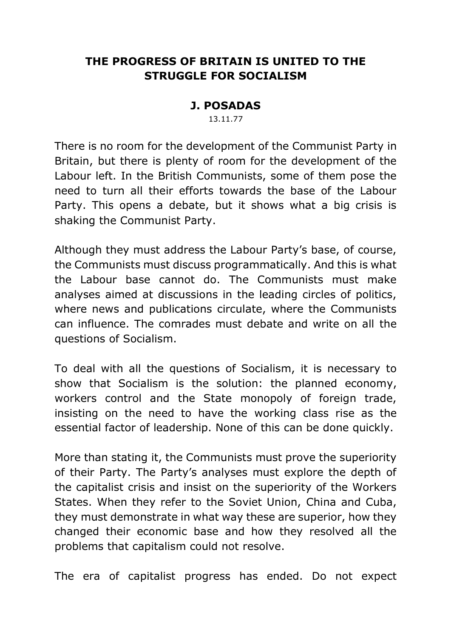# **THE PROGRESS OF BRITAIN IS UNITED TO THE STRUGGLE FOR SOCIALISM**

### **J. POSADAS**

13.11.77

There is no room for the development of the Communist Party in Britain, but there is plenty of room for the development of the Labour left. In the British Communists, some of them pose the need to turn all their efforts towards the base of the Labour Party. This opens a debate, but it shows what a big crisis is shaking the Communist Party.

Although they must address the Labour Party's base, of course, the Communists must discuss programmatically. And this is what the Labour base cannot do. The Communists must make analyses aimed at discussions in the leading circles of politics, where news and publications circulate, where the Communists can influence. The comrades must debate and write on all the questions of Socialism.

To deal with all the questions of Socialism, it is necessary to show that Socialism is the solution: the planned economy, workers control and the State monopoly of foreign trade, insisting on the need to have the working class rise as the essential factor of leadership. None of this can be done quickly.

More than stating it, the Communists must prove the superiority of their Party. The Party's analyses must explore the depth of the capitalist crisis and insist on the superiority of the Workers States. When they refer to the Soviet Union, China and Cuba, they must demonstrate in what way these are superior, how they changed their economic base and how they resolved all the problems that capitalism could not resolve.

The era of capitalist progress has ended. Do not expect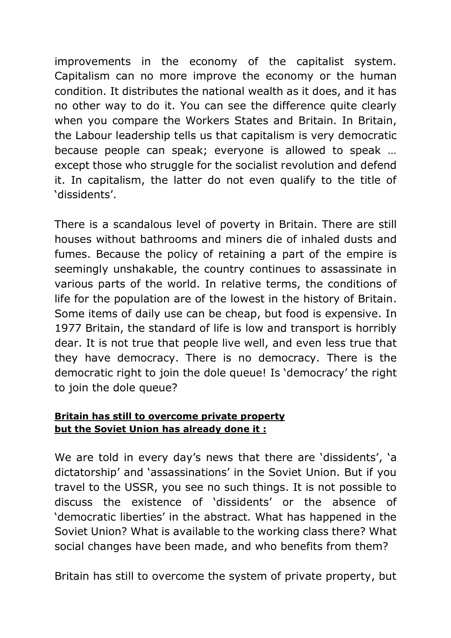improvements in the economy of the capitalist system. Capitalism can no more improve the economy or the human condition. It distributes the national wealth as it does, and it has no other way to do it. You can see the difference quite clearly when you compare the Workers States and Britain. In Britain, the Labour leadership tells us that capitalism is very democratic because people can speak; everyone is allowed to speak … except those who struggle for the socialist revolution and defend it. In capitalism, the latter do not even qualify to the title of 'dissidents'.

There is a scandalous level of poverty in Britain. There are still houses without bathrooms and miners die of inhaled dusts and fumes. Because the policy of retaining a part of the empire is seemingly unshakable, the country continues to assassinate in various parts of the world. In relative terms, the conditions of life for the population are of the lowest in the history of Britain. Some items of daily use can be cheap, but food is expensive. In 1977 Britain, the standard of life is low and transport is horribly dear. It is not true that people live well, and even less true that they have democracy. There is no democracy. There is the democratic right to join the dole queue! Is 'democracy' the right to join the dole queue?

### **Britain has still to overcome private property but the Soviet Union has already done it :**

We are told in every day's news that there are 'dissidents', 'a dictatorship' and 'assassinations' in the Soviet Union. But if you travel to the USSR, you see no such things. It is not possible to discuss the existence of 'dissidents' or the absence of 'democratic liberties' in the abstract. What has happened in the Soviet Union? What is available to the working class there? What social changes have been made, and who benefits from them?

Britain has still to overcome the system of private property, but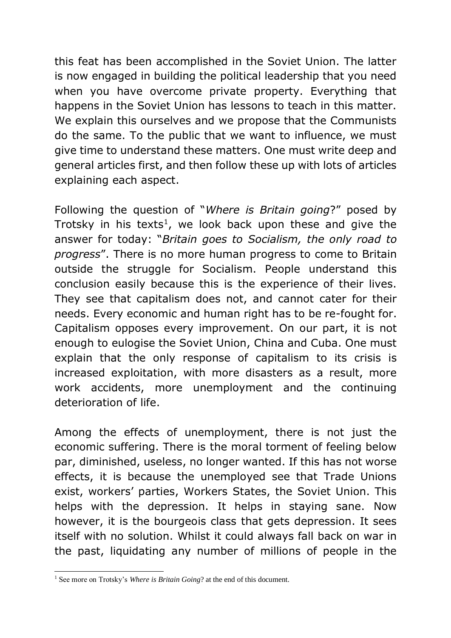this feat has been accomplished in the Soviet Union. The latter is now engaged in building the political leadership that you need when you have overcome private property. Everything that happens in the Soviet Union has lessons to teach in this matter. We explain this ourselves and we propose that the Communists do the same. To the public that we want to influence, we must give time to understand these matters. One must write deep and general articles first, and then follow these up with lots of articles explaining each aspect.

Following the question of "*Where is Britain going*?" posed by Trotsky in his texts<sup>1</sup>, we look back upon these and give the answer for today: "*Britain goes to Socialism, the only road to progress*". There is no more human progress to come to Britain outside the struggle for Socialism. People understand this conclusion easily because this is the experience of their lives. They see that capitalism does not, and cannot cater for their needs. Every economic and human right has to be re-fought for. Capitalism opposes every improvement. On our part, it is not enough to eulogise the Soviet Union, China and Cuba. One must explain that the only response of capitalism to its crisis is increased exploitation, with more disasters as a result, more work accidents, more unemployment and the continuing deterioration of life.

Among the effects of unemployment, there is not just the economic suffering. There is the moral torment of feeling below par, diminished, useless, no longer wanted. If this has not worse effects, it is because the unemployed see that Trade Unions exist, workers' parties, Workers States, the Soviet Union. This helps with the depression. It helps in staying sane. Now however, it is the bourgeois class that gets depression. It sees itself with no solution. Whilst it could always fall back on war in the past, liquidating any number of millions of people in the

-

<sup>&</sup>lt;sup>1</sup> See more on Trotsky's *Where is Britain Going*? at the end of this document.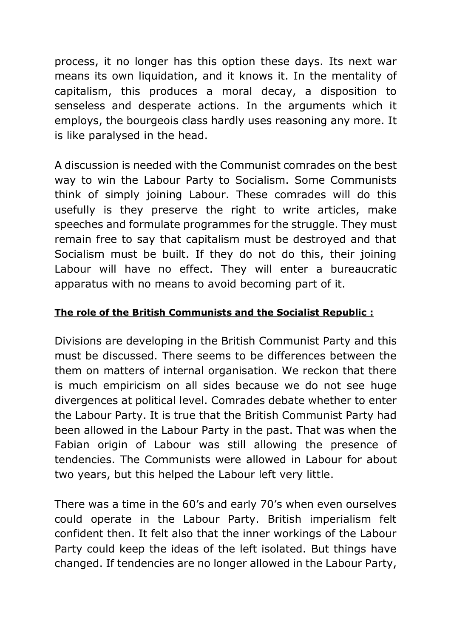process, it no longer has this option these days. Its next war means its own liquidation, and it knows it. In the mentality of capitalism, this produces a moral decay, a disposition to senseless and desperate actions. In the arguments which it employs, the bourgeois class hardly uses reasoning any more. It is like paralysed in the head.

A discussion is needed with the Communist comrades on the best way to win the Labour Party to Socialism. Some Communists think of simply joining Labour. These comrades will do this usefully is they preserve the right to write articles, make speeches and formulate programmes for the struggle. They must remain free to say that capitalism must be destroyed and that Socialism must be built. If they do not do this, their joining Labour will have no effect. They will enter a bureaucratic apparatus with no means to avoid becoming part of it.

## **The role of the British Communists and the Socialist Republic :**

Divisions are developing in the British Communist Party and this must be discussed. There seems to be differences between the them on matters of internal organisation. We reckon that there is much empiricism on all sides because we do not see huge divergences at political level. Comrades debate whether to enter the Labour Party. It is true that the British Communist Party had been allowed in the Labour Party in the past. That was when the Fabian origin of Labour was still allowing the presence of tendencies. The Communists were allowed in Labour for about two years, but this helped the Labour left very little.

There was a time in the 60's and early 70's when even ourselves could operate in the Labour Party. British imperialism felt confident then. It felt also that the inner workings of the Labour Party could keep the ideas of the left isolated. But things have changed. If tendencies are no longer allowed in the Labour Party,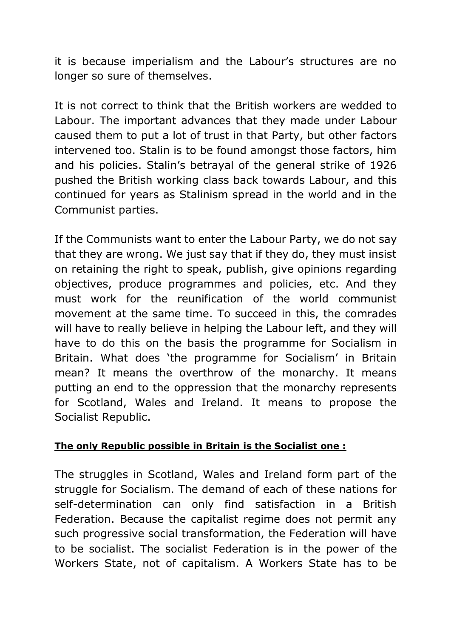it is because imperialism and the Labour's structures are no longer so sure of themselves.

It is not correct to think that the British workers are wedded to Labour. The important advances that they made under Labour caused them to put a lot of trust in that Party, but other factors intervened too. Stalin is to be found amongst those factors, him and his policies. Stalin's betrayal of the general strike of 1926 pushed the British working class back towards Labour, and this continued for years as Stalinism spread in the world and in the Communist parties.

If the Communists want to enter the Labour Party, we do not say that they are wrong. We just say that if they do, they must insist on retaining the right to speak, publish, give opinions regarding objectives, produce programmes and policies, etc. And they must work for the reunification of the world communist movement at the same time. To succeed in this, the comrades will have to really believe in helping the Labour left, and they will have to do this on the basis the programme for Socialism in Britain. What does 'the programme for Socialism' in Britain mean? It means the overthrow of the monarchy. It means putting an end to the oppression that the monarchy represents for Scotland, Wales and Ireland. It means to propose the Socialist Republic.

## **The only Republic possible in Britain is the Socialist one :**

The struggles in Scotland, Wales and Ireland form part of the struggle for Socialism. The demand of each of these nations for self-determination can only find satisfaction in a British Federation. Because the capitalist regime does not permit any such progressive social transformation, the Federation will have to be socialist. The socialist Federation is in the power of the Workers State, not of capitalism. A Workers State has to be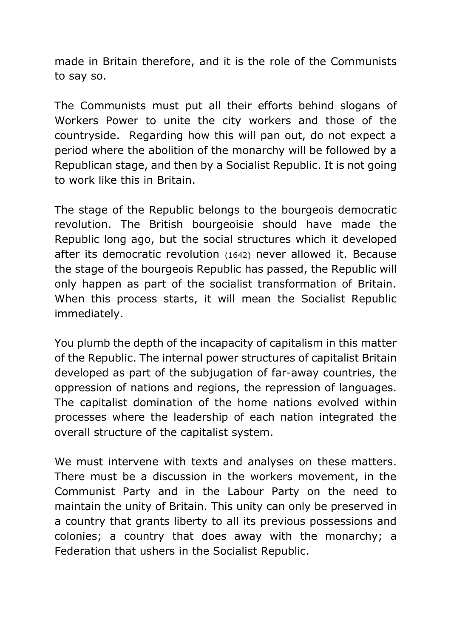made in Britain therefore, and it is the role of the Communists to say so.

The Communists must put all their efforts behind slogans of Workers Power to unite the city workers and those of the countryside. Regarding how this will pan out, do not expect a period where the abolition of the monarchy will be followed by a Republican stage, and then by a Socialist Republic. It is not going to work like this in Britain.

The stage of the Republic belongs to the bourgeois democratic revolution. The British bourgeoisie should have made the Republic long ago, but the social structures which it developed after its democratic revolution (1642) never allowed it. Because the stage of the bourgeois Republic has passed, the Republic will only happen as part of the socialist transformation of Britain. When this process starts, it will mean the Socialist Republic immediately.

You plumb the depth of the incapacity of capitalism in this matter of the Republic. The internal power structures of capitalist Britain developed as part of the subjugation of far-away countries, the oppression of nations and regions, the repression of languages. The capitalist domination of the home nations evolved within processes where the leadership of each nation integrated the overall structure of the capitalist system.

We must intervene with texts and analyses on these matters. There must be a discussion in the workers movement, in the Communist Party and in the Labour Party on the need to maintain the unity of Britain. This unity can only be preserved in a country that grants liberty to all its previous possessions and colonies; a country that does away with the monarchy; a Federation that ushers in the Socialist Republic.